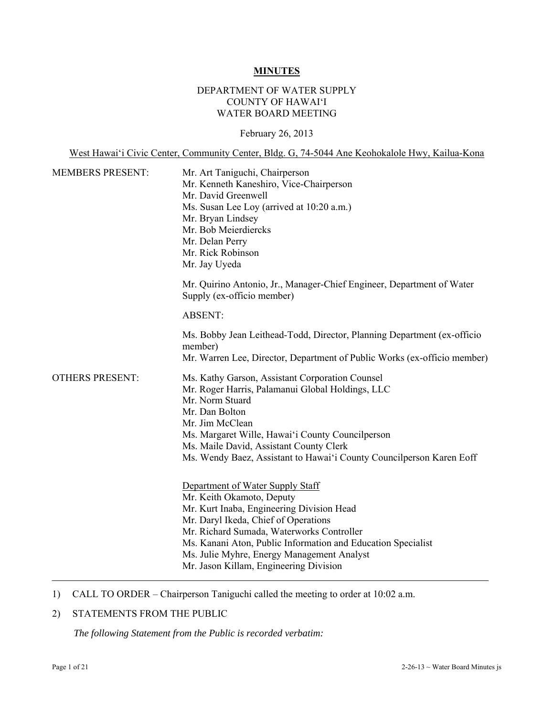#### **MINUTES**

## DEPARTMENT OF WATER SUPPLY COUNTY OF HAWAI'I WATER BOARD MEETING

February 26, 2013

West Hawai'i Civic Center, Community Center, Bldg. G, 74-5044 Ane Keohokalole Hwy, Kailua-Kona MEMBERS PRESENT: Mr. Art Taniguchi, Chairperson Mr. Kenneth Kaneshiro, Vice-Chairperson Mr. David Greenwell Ms. Susan Lee Loy (arrived at 10:20 a.m.) Mr. Bryan Lindsey Mr. Bob Meierdiercks Mr. Delan Perry Mr. Rick Robinson Mr. Jay Uyeda Mr. Quirino Antonio, Jr., Manager-Chief Engineer, Department of Water Supply (ex-officio member) ABSENT: Ms. Bobby Jean Leithead-Todd, Director, Planning Department (ex-officio member) Mr. Warren Lee, Director, Department of Public Works (ex-officio member) OTHERS PRESENT: Ms. Kathy Garson, Assistant Corporation Counsel Mr. Roger Harris, Palamanui Global Holdings, LLC Mr. Norm Stuard Mr. Dan Bolton Mr. Jim McClean Ms. Margaret Wille, Hawai'i County Councilperson Ms. Maile David, Assistant County Clerk Ms. Wendy Baez, Assistant to Hawai'i County Councilperson Karen Eoff Department of Water Supply Staff Mr. Keith Okamoto, Deputy Mr. Kurt Inaba, Engineering Division Head Mr. Daryl Ikeda, Chief of Operations Mr. Richard Sumada, Waterworks Controller Ms. Kanani Aton, Public Information and Education Specialist Ms. Julie Myhre, Energy Management Analyst Mr. Jason Killam, Engineering Division

1) CALL TO ORDER – Chairperson Taniguchi called the meeting to order at 10:02 a.m.

## 2) STATEMENTS FROM THE PUBLIC

*The following Statement from the Public is recorded verbatim:*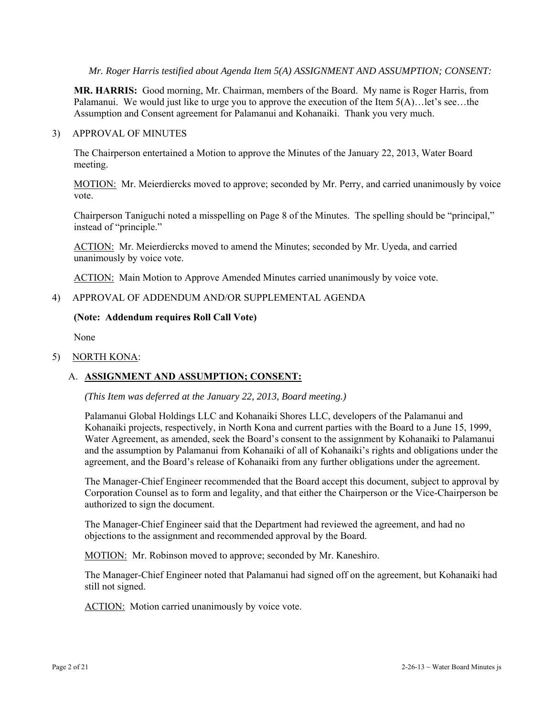*Mr. Roger Harris testified about Agenda Item 5(A) ASSIGNMENT AND ASSUMPTION; CONSENT:* 

**MR. HARRIS:** Good morning, Mr. Chairman, members of the Board. My name is Roger Harris, from Palamanui. We would just like to urge you to approve the execution of the Item 5(A)…let's see…the Assumption and Consent agreement for Palamanui and Kohanaiki. Thank you very much.

#### 3) APPROVAL OF MINUTES

The Chairperson entertained a Motion to approve the Minutes of the January 22, 2013, Water Board meeting.

MOTION: Mr. Meierdiercks moved to approve; seconded by Mr. Perry, and carried unanimously by voice vote.

Chairperson Taniguchi noted a misspelling on Page 8 of the Minutes. The spelling should be "principal," instead of "principle."

ACTION: Mr. Meierdiercks moved to amend the Minutes; seconded by Mr. Uyeda, and carried unanimously by voice vote.

ACTION: Main Motion to Approve Amended Minutes carried unanimously by voice vote.

# 4) APPROVAL OF ADDENDUM AND/OR SUPPLEMENTAL AGENDA

#### **(Note: Addendum requires Roll Call Vote)**

None

#### 5) NORTH KONA:

# A. **ASSIGNMENT AND ASSUMPTION; CONSENT:**

#### *(This Item was deferred at the January 22, 2013, Board meeting.)*

Palamanui Global Holdings LLC and Kohanaiki Shores LLC, developers of the Palamanui and Kohanaiki projects, respectively, in North Kona and current parties with the Board to a June 15, 1999, Water Agreement, as amended, seek the Board's consent to the assignment by Kohanaiki to Palamanui and the assumption by Palamanui from Kohanaiki of all of Kohanaiki's rights and obligations under the agreement, and the Board's release of Kohanaiki from any further obligations under the agreement.

The Manager-Chief Engineer recommended that the Board accept this document, subject to approval by Corporation Counsel as to form and legality, and that either the Chairperson or the Vice-Chairperson be authorized to sign the document.

The Manager-Chief Engineer said that the Department had reviewed the agreement, and had no objections to the assignment and recommended approval by the Board.

MOTION: Mr. Robinson moved to approve; seconded by Mr. Kaneshiro.

The Manager-Chief Engineer noted that Palamanui had signed off on the agreement, but Kohanaiki had still not signed.

ACTION: Motion carried unanimously by voice vote.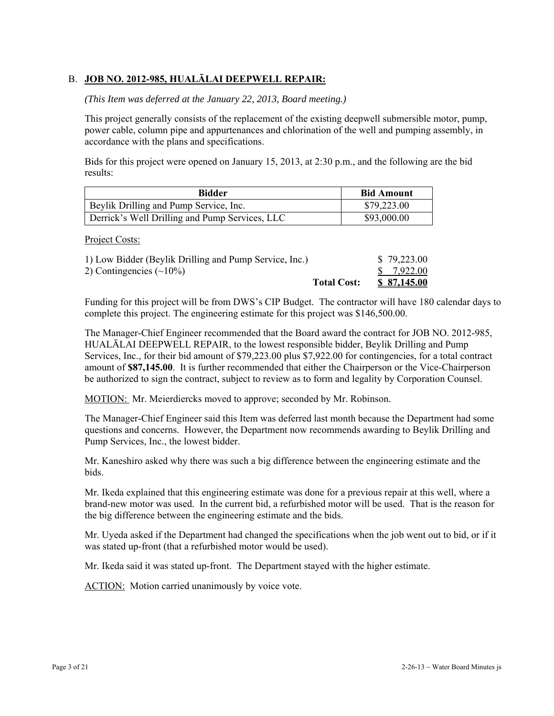# B. **JOB NO. 2012-985, HUALĀLAI DEEPWELL REPAIR:**

#### *(This Item was deferred at the January 22, 2013, Board meeting.)*

This project generally consists of the replacement of the existing deepwell submersible motor, pump, power cable, column pipe and appurtenances and chlorination of the well and pumping assembly, in accordance with the plans and specifications.

Bids for this project were opened on January 15, 2013, at 2:30 p.m., and the following are the bid results:

| Bidder                                         | <b>Bid Amount</b> |
|------------------------------------------------|-------------------|
| Beylik Drilling and Pump Service, Inc.         | \$79,223.00       |
| Derrick's Well Drilling and Pump Services, LLC | \$93,000.00       |

Project Costs:

|                                                        | <b>Total Cost:</b> | \$ 87,145.00 |
|--------------------------------------------------------|--------------------|--------------|
| 2) Contingencies $(\sim 10\%)$                         |                    | \$ 7.922.00  |
| 1) Low Bidder (Beylik Drilling and Pump Service, Inc.) |                    | \$79,223.00  |

Funding for this project will be from DWS's CIP Budget. The contractor will have 180 calendar days to complete this project. The engineering estimate for this project was \$146,500.00.

The Manager-Chief Engineer recommended that the Board award the contract for JOB NO. 2012-985, HUALĀLAI DEEPWELL REPAIR, to the lowest responsible bidder, Beylik Drilling and Pump Services, Inc., for their bid amount of \$79,223.00 plus \$7,922.00 for contingencies, for a total contract amount of **\$87,145.00**. It is further recommended that either the Chairperson or the Vice-Chairperson be authorized to sign the contract, subject to review as to form and legality by Corporation Counsel.

MOTION: Mr. Meierdiercks moved to approve; seconded by Mr. Robinson.

The Manager-Chief Engineer said this Item was deferred last month because the Department had some questions and concerns. However, the Department now recommends awarding to Beylik Drilling and Pump Services, Inc., the lowest bidder.

Mr. Kaneshiro asked why there was such a big difference between the engineering estimate and the bids.

Mr. Ikeda explained that this engineering estimate was done for a previous repair at this well, where a brand-new motor was used. In the current bid, a refurbished motor will be used. That is the reason for the big difference between the engineering estimate and the bids.

Mr. Uyeda asked if the Department had changed the specifications when the job went out to bid, or if it was stated up-front (that a refurbished motor would be used).

Mr. Ikeda said it was stated up-front. The Department stayed with the higher estimate.

ACTION: Motion carried unanimously by voice vote.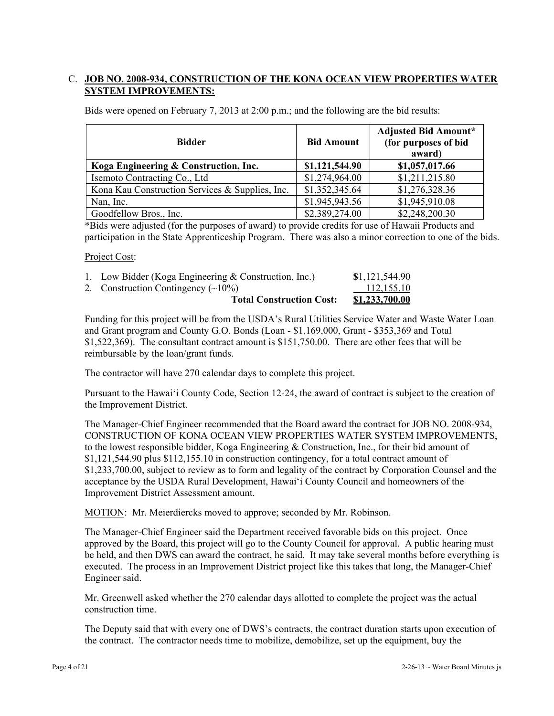# C. **JOB NO. 2008-934, CONSTRUCTION OF THE KONA OCEAN VIEW PROPERTIES WATER SYSTEM IMPROVEMENTS:**

Bids were opened on February 7, 2013 at 2:00 p.m.; and the following are the bid results:

| <b>Bidder</b>                                   | <b>Bid Amount</b> | <b>Adjusted Bid Amount*</b><br>(for purposes of bid<br>award) |
|-------------------------------------------------|-------------------|---------------------------------------------------------------|
| Koga Engineering & Construction, Inc.           | \$1,121,544.90    | \$1,057,017.66                                                |
| Isemoto Contracting Co., Ltd                    | \$1,274,964.00    | \$1,211,215.80                                                |
| Kona Kau Construction Services & Supplies, Inc. | \$1,352,345.64    | \$1,276,328.36                                                |
| Nan, Inc.                                       | \$1,945,943.56    | \$1,945,910.08                                                |
| Goodfellow Bros., Inc.                          | \$2,389,274.00    | \$2,248,200.30                                                |

\*Bids were adjusted (for the purposes of award) to provide credits for use of Hawaii Products and participation in the State Apprenticeship Program. There was also a minor correction to one of the bids.

#### Project Cost:

| <b>Total Construction Cost:</b>                       | <b>\$1,233,700.00</b> |
|-------------------------------------------------------|-----------------------|
| 2. Construction Contingency $(\sim 10\%)$             | 112.155.10            |
| 1. Low Bidder (Koga Engineering & Construction, Inc.) | \$1,121,544.90        |

Funding for this project will be from the USDA's Rural Utilities Service Water and Waste Water Loan and Grant program and County G.O. Bonds (Loan - \$1,169,000, Grant - \$353,369 and Total \$1,522,369). The consultant contract amount is \$151,750.00. There are other fees that will be reimbursable by the loan/grant funds.

The contractor will have 270 calendar days to complete this project.

Pursuant to the Hawai'i County Code, Section 12-24, the award of contract is subject to the creation of the Improvement District.

The Manager-Chief Engineer recommended that the Board award the contract for JOB NO. 2008-934, CONSTRUCTION OF KONA OCEAN VIEW PROPERTIES WATER SYSTEM IMPROVEMENTS, to the lowest responsible bidder, Koga Engineering & Construction, Inc., for their bid amount of \$1,121,544.90 plus \$112,155.10 in construction contingency, for a total contract amount of \$1,233,700.00, subject to review as to form and legality of the contract by Corporation Counsel and the acceptance by the USDA Rural Development, Hawai'i County Council and homeowners of the Improvement District Assessment amount.

MOTION: Mr. Meierdiercks moved to approve; seconded by Mr. Robinson.

The Manager-Chief Engineer said the Department received favorable bids on this project. Once approved by the Board, this project will go to the County Council for approval. A public hearing must be held, and then DWS can award the contract, he said. It may take several months before everything is executed. The process in an Improvement District project like this takes that long, the Manager-Chief Engineer said.

Mr. Greenwell asked whether the 270 calendar days allotted to complete the project was the actual construction time.

The Deputy said that with every one of DWS's contracts, the contract duration starts upon execution of the contract. The contractor needs time to mobilize, demobilize, set up the equipment, buy the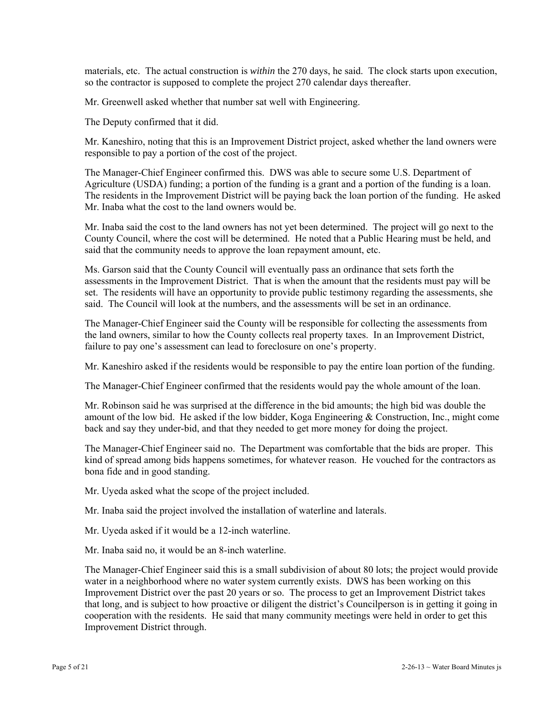materials, etc. The actual construction is *within* the 270 days, he said. The clock starts upon execution, so the contractor is supposed to complete the project 270 calendar days thereafter.

Mr. Greenwell asked whether that number sat well with Engineering.

The Deputy confirmed that it did.

Mr. Kaneshiro, noting that this is an Improvement District project, asked whether the land owners were responsible to pay a portion of the cost of the project.

The Manager-Chief Engineer confirmed this. DWS was able to secure some U.S. Department of Agriculture (USDA) funding; a portion of the funding is a grant and a portion of the funding is a loan. The residents in the Improvement District will be paying back the loan portion of the funding. He asked Mr. Inaba what the cost to the land owners would be.

Mr. Inaba said the cost to the land owners has not yet been determined. The project will go next to the County Council, where the cost will be determined. He noted that a Public Hearing must be held, and said that the community needs to approve the loan repayment amount, etc.

Ms. Garson said that the County Council will eventually pass an ordinance that sets forth the assessments in the Improvement District. That is when the amount that the residents must pay will be set. The residents will have an opportunity to provide public testimony regarding the assessments, she said. The Council will look at the numbers, and the assessments will be set in an ordinance.

The Manager-Chief Engineer said the County will be responsible for collecting the assessments from the land owners, similar to how the County collects real property taxes. In an Improvement District, failure to pay one's assessment can lead to foreclosure on one's property.

Mr. Kaneshiro asked if the residents would be responsible to pay the entire loan portion of the funding.

The Manager-Chief Engineer confirmed that the residents would pay the whole amount of the loan.

Mr. Robinson said he was surprised at the difference in the bid amounts; the high bid was double the amount of the low bid. He asked if the low bidder, Koga Engineering & Construction, Inc., might come back and say they under-bid, and that they needed to get more money for doing the project.

The Manager-Chief Engineer said no. The Department was comfortable that the bids are proper. This kind of spread among bids happens sometimes, for whatever reason. He vouched for the contractors as bona fide and in good standing.

Mr. Uyeda asked what the scope of the project included.

Mr. Inaba said the project involved the installation of waterline and laterals.

Mr. Uyeda asked if it would be a 12-inch waterline.

Mr. Inaba said no, it would be an 8-inch waterline.

The Manager-Chief Engineer said this is a small subdivision of about 80 lots; the project would provide water in a neighborhood where no water system currently exists. DWS has been working on this Improvement District over the past 20 years or so. The process to get an Improvement District takes that long, and is subject to how proactive or diligent the district's Councilperson is in getting it going in cooperation with the residents. He said that many community meetings were held in order to get this Improvement District through.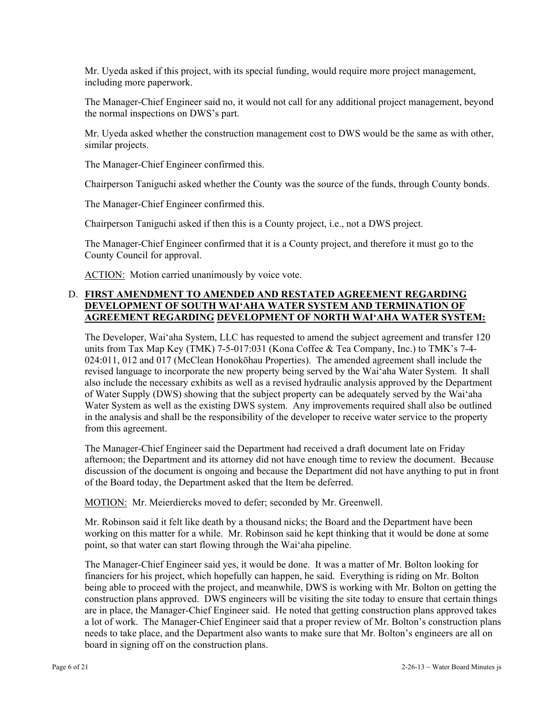Mr. Uyeda asked if this project, with its special funding, would require more project management, including more paperwork.

The Manager-Chief Engineer said no, it would not call for any additional project management, beyond the normal inspections on DWS's part.

Mr. Uyeda asked whether the construction management cost to DWS would be the same as with other, similar projects.

The Manager-Chief Engineer confirmed this.

Chairperson Taniguchi asked whether the County was the source of the funds, through County bonds.

The Manager-Chief Engineer confirmed this.

Chairperson Taniguchi asked if then this is a County project, i.e., not a DWS project.

The Manager-Chief Engineer confirmed that it is a County project, and therefore it must go to the County Council for approval.

ACTION: Motion carried unanimously by voice vote.

## D. **FIRST AMENDMENT TO AMENDED AND RESTATED AGREEMENT REGARDING DEVELOPMENT OF SOUTH WAI'AHA WATER SYSTEM AND TERMINATION OF AGREEMENT REGARDING DEVELOPMENT OF NORTH WAI'AHA WATER SYSTEM:**

The Developer, Wai'aha System, LLC has requested to amend the subject agreement and transfer 120 units from Tax Map Key (TMK) 7-5-017:031 (Kona Coffee & Tea Company, Inc.) to TMK's 7-4- 024:011, 012 and 017 (McClean Honokōhau Properties). The amended agreement shall include the revised language to incorporate the new property being served by the Wai'aha Water System. It shall also include the necessary exhibits as well as a revised hydraulic analysis approved by the Department of Water Supply (DWS) showing that the subject property can be adequately served by the Wai'aha Water System as well as the existing DWS system. Any improvements required shall also be outlined in the analysis and shall be the responsibility of the developer to receive water service to the property from this agreement.

The Manager-Chief Engineer said the Department had received a draft document late on Friday afternoon; the Department and its attorney did not have enough time to review the document. Because discussion of the document is ongoing and because the Department did not have anything to put in front of the Board today, the Department asked that the Item be deferred.

MOTION: Mr. Meierdiercks moved to defer; seconded by Mr. Greenwell.

Mr. Robinson said it felt like death by a thousand nicks; the Board and the Department have been working on this matter for a while. Mr. Robinson said he kept thinking that it would be done at some point, so that water can start flowing through the Wai'aha pipeline.

The Manager-Chief Engineer said yes, it would be done. It was a matter of Mr. Bolton looking for financiers for his project, which hopefully can happen, he said. Everything is riding on Mr. Bolton being able to proceed with the project, and meanwhile, DWS is working with Mr. Bolton on getting the construction plans approved. DWS engineers will be visiting the site today to ensure that certain things are in place, the Manager-Chief Engineer said. He noted that getting construction plans approved takes a lot of work. The Manager-Chief Engineer said that a proper review of Mr. Bolton's construction plans needs to take place, and the Department also wants to make sure that Mr. Bolton's engineers are all on board in signing off on the construction plans.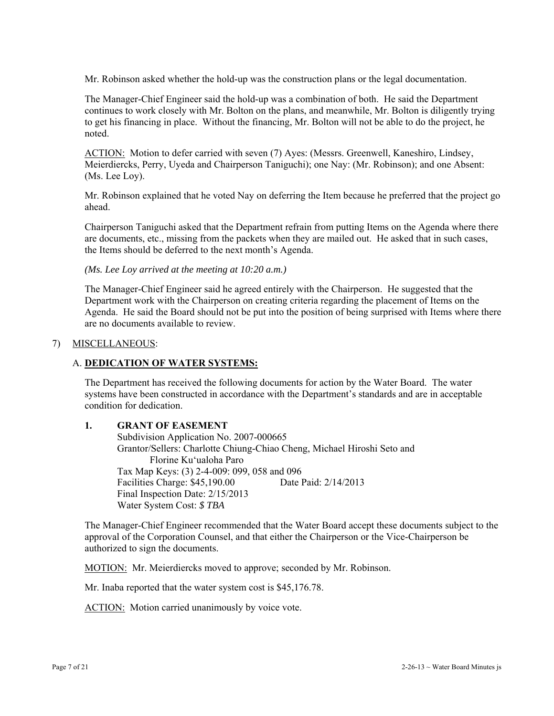Mr. Robinson asked whether the hold-up was the construction plans or the legal documentation.

The Manager-Chief Engineer said the hold-up was a combination of both. He said the Department continues to work closely with Mr. Bolton on the plans, and meanwhile, Mr. Bolton is diligently trying to get his financing in place. Without the financing, Mr. Bolton will not be able to do the project, he noted.

ACTION: Motion to defer carried with seven (7) Ayes: (Messrs. Greenwell, Kaneshiro, Lindsey, Meierdiercks, Perry, Uyeda and Chairperson Taniguchi); one Nay: (Mr. Robinson); and one Absent: (Ms. Lee Loy).

Mr. Robinson explained that he voted Nay on deferring the Item because he preferred that the project go ahead.

Chairperson Taniguchi asked that the Department refrain from putting Items on the Agenda where there are documents, etc., missing from the packets when they are mailed out. He asked that in such cases, the Items should be deferred to the next month's Agenda.

*(Ms. Lee Loy arrived at the meeting at 10:20 a.m.)* 

The Manager-Chief Engineer said he agreed entirely with the Chairperson. He suggested that the Department work with the Chairperson on creating criteria regarding the placement of Items on the Agenda. He said the Board should not be put into the position of being surprised with Items where there are no documents available to review.

#### 7) MISCELLANEOUS:

### A. **DEDICATION OF WATER SYSTEMS:**

The Department has received the following documents for action by the Water Board. The water systems have been constructed in accordance with the Department's standards and are in acceptable condition for dedication.

#### **1. GRANT OF EASEMENT**

 Subdivision Application No. 2007-000665 Grantor/Sellers: Charlotte Chiung-Chiao Cheng, Michael Hiroshi Seto and Florine Ku'ualoha Paro Tax Map Keys: (3) 2-4-009: 099, 058 and 096 Facilities Charge: \$45,190.00 Date Paid: 2/14/2013 Final Inspection Date: 2/15/2013 Water System Cost: *\$ TBA* 

The Manager-Chief Engineer recommended that the Water Board accept these documents subject to the approval of the Corporation Counsel, and that either the Chairperson or the Vice-Chairperson be authorized to sign the documents.

MOTION: Mr. Meierdiercks moved to approve; seconded by Mr. Robinson.

Mr. Inaba reported that the water system cost is \$45,176.78.

ACTION: Motion carried unanimously by voice vote.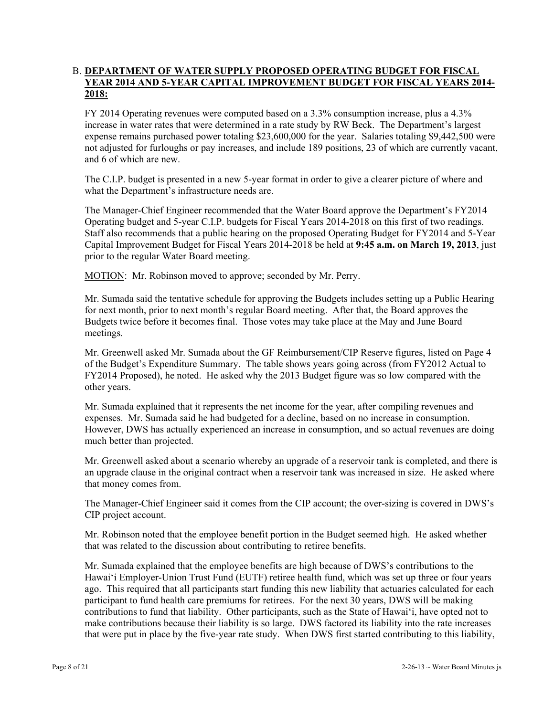# B. **DEPARTMENT OF WATER SUPPLY PROPOSED OPERATING BUDGET FOR FISCAL YEAR 2014 AND 5-YEAR CAPITAL IMPROVEMENT BUDGET FOR FISCAL YEARS 2014- 2018:**

FY 2014 Operating revenues were computed based on a 3.3% consumption increase, plus a 4.3% increase in water rates that were determined in a rate study by RW Beck. The Department's largest expense remains purchased power totaling \$23,600,000 for the year. Salaries totaling \$9,442,500 were not adjusted for furloughs or pay increases, and include 189 positions, 23 of which are currently vacant, and 6 of which are new.

The C.I.P. budget is presented in a new 5-year format in order to give a clearer picture of where and what the Department's infrastructure needs are.

The Manager-Chief Engineer recommended that the Water Board approve the Department's FY2014 Operating budget and 5-year C.I.P. budgets for Fiscal Years 2014-2018 on this first of two readings. Staff also recommends that a public hearing on the proposed Operating Budget for FY2014 and 5-Year Capital Improvement Budget for Fiscal Years 2014-2018 be held at **9:45 a.m. on March 19, 2013**, just prior to the regular Water Board meeting.

MOTION: Mr. Robinson moved to approve; seconded by Mr. Perry.

Mr. Sumada said the tentative schedule for approving the Budgets includes setting up a Public Hearing for next month, prior to next month's regular Board meeting. After that, the Board approves the Budgets twice before it becomes final. Those votes may take place at the May and June Board meetings.

Mr. Greenwell asked Mr. Sumada about the GF Reimbursement/CIP Reserve figures, listed on Page 4 of the Budget's Expenditure Summary. The table shows years going across (from FY2012 Actual to FY2014 Proposed), he noted. He asked why the 2013 Budget figure was so low compared with the other years.

Mr. Sumada explained that it represents the net income for the year, after compiling revenues and expenses. Mr. Sumada said he had budgeted for a decline, based on no increase in consumption. However, DWS has actually experienced an increase in consumption, and so actual revenues are doing much better than projected.

Mr. Greenwell asked about a scenario whereby an upgrade of a reservoir tank is completed, and there is an upgrade clause in the original contract when a reservoir tank was increased in size. He asked where that money comes from.

The Manager-Chief Engineer said it comes from the CIP account; the over-sizing is covered in DWS's CIP project account.

Mr. Robinson noted that the employee benefit portion in the Budget seemed high. He asked whether that was related to the discussion about contributing to retiree benefits.

Mr. Sumada explained that the employee benefits are high because of DWS's contributions to the Hawai'i Employer-Union Trust Fund (EUTF) retiree health fund, which was set up three or four years ago. This required that all participants start funding this new liability that actuaries calculated for each participant to fund health care premiums for retirees. For the next 30 years, DWS will be making contributions to fund that liability. Other participants, such as the State of Hawai'i, have opted not to make contributions because their liability is so large. DWS factored its liability into the rate increases that were put in place by the five-year rate study. When DWS first started contributing to this liability,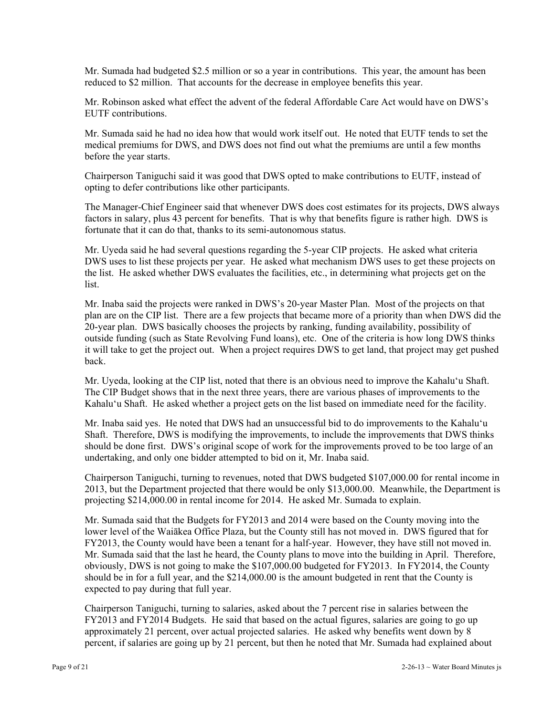Mr. Sumada had budgeted \$2.5 million or so a year in contributions. This year, the amount has been reduced to \$2 million. That accounts for the decrease in employee benefits this year.

Mr. Robinson asked what effect the advent of the federal Affordable Care Act would have on DWS's EUTF contributions.

Mr. Sumada said he had no idea how that would work itself out. He noted that EUTF tends to set the medical premiums for DWS, and DWS does not find out what the premiums are until a few months before the year starts.

Chairperson Taniguchi said it was good that DWS opted to make contributions to EUTF, instead of opting to defer contributions like other participants.

The Manager-Chief Engineer said that whenever DWS does cost estimates for its projects, DWS always factors in salary, plus 43 percent for benefits. That is why that benefits figure is rather high. DWS is fortunate that it can do that, thanks to its semi-autonomous status.

Mr. Uyeda said he had several questions regarding the 5-year CIP projects. He asked what criteria DWS uses to list these projects per year. He asked what mechanism DWS uses to get these projects on the list. He asked whether DWS evaluates the facilities, etc., in determining what projects get on the list.

Mr. Inaba said the projects were ranked in DWS's 20-year Master Plan. Most of the projects on that plan are on the CIP list. There are a few projects that became more of a priority than when DWS did the 20-year plan. DWS basically chooses the projects by ranking, funding availability, possibility of outside funding (such as State Revolving Fund loans), etc. One of the criteria is how long DWS thinks it will take to get the project out. When a project requires DWS to get land, that project may get pushed back.

Mr. Uyeda, looking at the CIP list, noted that there is an obvious need to improve the Kahalu'u Shaft. The CIP Budget shows that in the next three years, there are various phases of improvements to the Kahalu'u Shaft. He asked whether a project gets on the list based on immediate need for the facility.

Mr. Inaba said yes. He noted that DWS had an unsuccessful bid to do improvements to the Kahalu'u Shaft. Therefore, DWS is modifying the improvements, to include the improvements that DWS thinks should be done first. DWS's original scope of work for the improvements proved to be too large of an undertaking, and only one bidder attempted to bid on it, Mr. Inaba said.

Chairperson Taniguchi, turning to revenues, noted that DWS budgeted \$107,000.00 for rental income in 2013, but the Department projected that there would be only \$13,000.00. Meanwhile, the Department is projecting \$214,000.00 in rental income for 2014. He asked Mr. Sumada to explain.

Mr. Sumada said that the Budgets for FY2013 and 2014 were based on the County moving into the lower level of the Waiākea Office Plaza, but the County still has not moved in. DWS figured that for FY2013, the County would have been a tenant for a half-year. However, they have still not moved in. Mr. Sumada said that the last he heard, the County plans to move into the building in April. Therefore, obviously, DWS is not going to make the \$107,000.00 budgeted for FY2013. In FY2014, the County should be in for a full year, and the \$214,000.00 is the amount budgeted in rent that the County is expected to pay during that full year.

Chairperson Taniguchi, turning to salaries, asked about the 7 percent rise in salaries between the FY2013 and FY2014 Budgets. He said that based on the actual figures, salaries are going to go up approximately 21 percent, over actual projected salaries. He asked why benefits went down by 8 percent, if salaries are going up by 21 percent, but then he noted that Mr. Sumada had explained about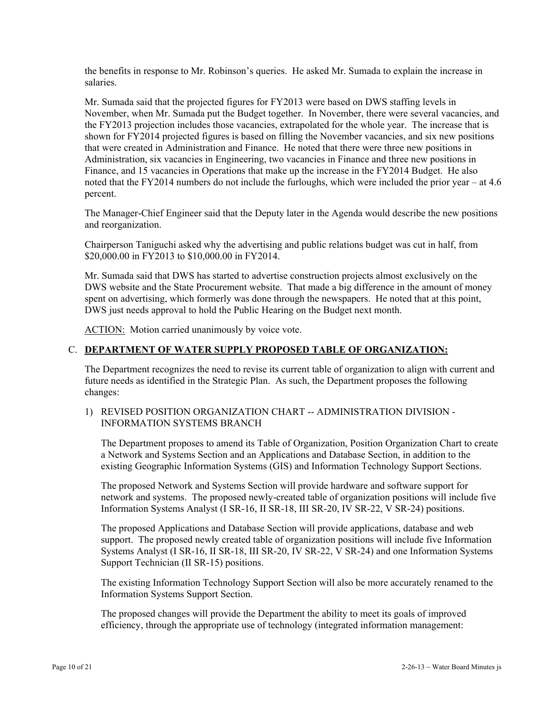the benefits in response to Mr. Robinson's queries. He asked Mr. Sumada to explain the increase in salaries.

Mr. Sumada said that the projected figures for FY2013 were based on DWS staffing levels in November, when Mr. Sumada put the Budget together. In November, there were several vacancies, and the FY2013 projection includes those vacancies, extrapolated for the whole year. The increase that is shown for FY2014 projected figures is based on filling the November vacancies, and six new positions that were created in Administration and Finance. He noted that there were three new positions in Administration, six vacancies in Engineering, two vacancies in Finance and three new positions in Finance, and 15 vacancies in Operations that make up the increase in the FY2014 Budget. He also noted that the FY2014 numbers do not include the furloughs, which were included the prior year – at 4.6 percent.

The Manager-Chief Engineer said that the Deputy later in the Agenda would describe the new positions and reorganization.

Chairperson Taniguchi asked why the advertising and public relations budget was cut in half, from \$20,000.00 in FY2013 to \$10,000.00 in FY2014.

Mr. Sumada said that DWS has started to advertise construction projects almost exclusively on the DWS website and the State Procurement website. That made a big difference in the amount of money spent on advertising, which formerly was done through the newspapers. He noted that at this point, DWS just needs approval to hold the Public Hearing on the Budget next month.

ACTION: Motion carried unanimously by voice vote.

#### C. **DEPARTMENT OF WATER SUPPLY PROPOSED TABLE OF ORGANIZATION:**

The Department recognizes the need to revise its current table of organization to align with current and future needs as identified in the Strategic Plan. As such, the Department proposes the following changes:

## 1) REVISED POSITION ORGANIZATION CHART -- ADMINISTRATION DIVISION - INFORMATION SYSTEMS BRANCH

The Department proposes to amend its Table of Organization, Position Organization Chart to create a Network and Systems Section and an Applications and Database Section, in addition to the existing Geographic Information Systems (GIS) and Information Technology Support Sections.

The proposed Network and Systems Section will provide hardware and software support for network and systems. The proposed newly-created table of organization positions will include five Information Systems Analyst (I SR-16, II SR-18, III SR-20, IV SR-22, V SR-24) positions.

The proposed Applications and Database Section will provide applications, database and web support. The proposed newly created table of organization positions will include five Information Systems Analyst (I SR-16, II SR-18, III SR-20, IV SR-22, V SR-24) and one Information Systems Support Technician (II SR-15) positions.

The existing Information Technology Support Section will also be more accurately renamed to the Information Systems Support Section.

The proposed changes will provide the Department the ability to meet its goals of improved efficiency, through the appropriate use of technology (integrated information management: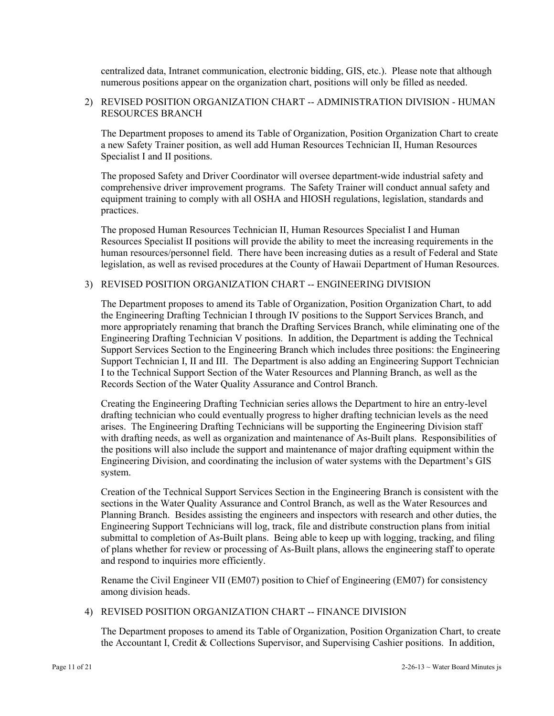centralized data, Intranet communication, electronic bidding, GIS, etc.). Please note that although numerous positions appear on the organization chart, positions will only be filled as needed.

### 2) REVISED POSITION ORGANIZATION CHART -- ADMINISTRATION DIVISION - HUMAN RESOURCES BRANCH

The Department proposes to amend its Table of Organization, Position Organization Chart to create a new Safety Trainer position, as well add Human Resources Technician II, Human Resources Specialist I and II positions.

The proposed Safety and Driver Coordinator will oversee department-wide industrial safety and comprehensive driver improvement programs. The Safety Trainer will conduct annual safety and equipment training to comply with all OSHA and HIOSH regulations, legislation, standards and practices.

The proposed Human Resources Technician II, Human Resources Specialist I and Human Resources Specialist II positions will provide the ability to meet the increasing requirements in the human resources/personnel field. There have been increasing duties as a result of Federal and State legislation, as well as revised procedures at the County of Hawaii Department of Human Resources.

# 3) REVISED POSITION ORGANIZATION CHART -- ENGINEERING DIVISION

The Department proposes to amend its Table of Organization, Position Organization Chart, to add the Engineering Drafting Technician I through IV positions to the Support Services Branch, and more appropriately renaming that branch the Drafting Services Branch, while eliminating one of the Engineering Drafting Technician V positions. In addition, the Department is adding the Technical Support Services Section to the Engineering Branch which includes three positions: the Engineering Support Technician I, II and III. The Department is also adding an Engineering Support Technician I to the Technical Support Section of the Water Resources and Planning Branch, as well as the Records Section of the Water Quality Assurance and Control Branch.

Creating the Engineering Drafting Technician series allows the Department to hire an entry-level drafting technician who could eventually progress to higher drafting technician levels as the need arises. The Engineering Drafting Technicians will be supporting the Engineering Division staff with drafting needs, as well as organization and maintenance of As-Built plans. Responsibilities of the positions will also include the support and maintenance of major drafting equipment within the Engineering Division, and coordinating the inclusion of water systems with the Department's GIS system.

Creation of the Technical Support Services Section in the Engineering Branch is consistent with the sections in the Water Quality Assurance and Control Branch, as well as the Water Resources and Planning Branch. Besides assisting the engineers and inspectors with research and other duties, the Engineering Support Technicians will log, track, file and distribute construction plans from initial submittal to completion of As-Built plans. Being able to keep up with logging, tracking, and filing of plans whether for review or processing of As-Built plans, allows the engineering staff to operate and respond to inquiries more efficiently.

Rename the Civil Engineer VII (EM07) position to Chief of Engineering (EM07) for consistency among division heads.

## 4) REVISED POSITION ORGANIZATION CHART -- FINANCE DIVISION

The Department proposes to amend its Table of Organization, Position Organization Chart, to create the Accountant I, Credit & Collections Supervisor, and Supervising Cashier positions. In addition,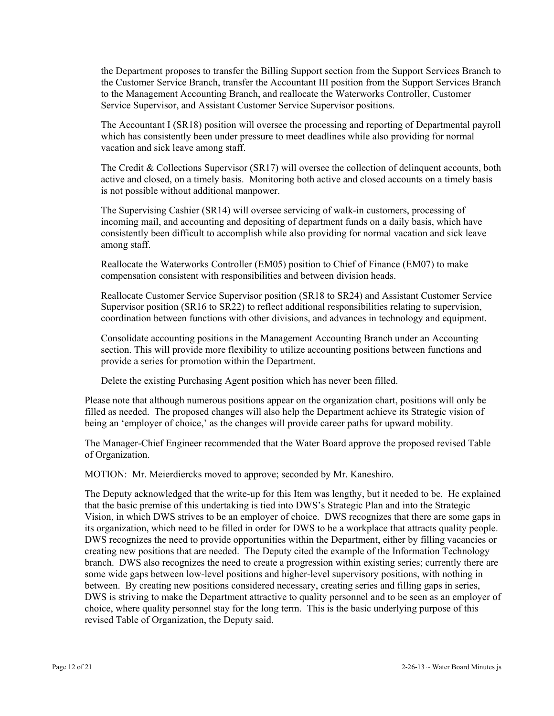the Department proposes to transfer the Billing Support section from the Support Services Branch to the Customer Service Branch, transfer the Accountant III position from the Support Services Branch to the Management Accounting Branch, and reallocate the Waterworks Controller, Customer Service Supervisor, and Assistant Customer Service Supervisor positions.

The Accountant I (SR18) position will oversee the processing and reporting of Departmental payroll which has consistently been under pressure to meet deadlines while also providing for normal vacation and sick leave among staff.

The Credit & Collections Supervisor (SR17) will oversee the collection of delinquent accounts, both active and closed, on a timely basis. Monitoring both active and closed accounts on a timely basis is not possible without additional manpower.

The Supervising Cashier (SR14) will oversee servicing of walk-in customers, processing of incoming mail, and accounting and depositing of department funds on a daily basis, which have consistently been difficult to accomplish while also providing for normal vacation and sick leave among staff.

Reallocate the Waterworks Controller (EM05) position to Chief of Finance (EM07) to make compensation consistent with responsibilities and between division heads.

Reallocate Customer Service Supervisor position (SR18 to SR24) and Assistant Customer Service Supervisor position (SR16 to SR22) to reflect additional responsibilities relating to supervision, coordination between functions with other divisions, and advances in technology and equipment.

Consolidate accounting positions in the Management Accounting Branch under an Accounting section. This will provide more flexibility to utilize accounting positions between functions and provide a series for promotion within the Department.

Delete the existing Purchasing Agent position which has never been filled.

Please note that although numerous positions appear on the organization chart, positions will only be filled as needed. The proposed changes will also help the Department achieve its Strategic vision of being an 'employer of choice,' as the changes will provide career paths for upward mobility.

The Manager-Chief Engineer recommended that the Water Board approve the proposed revised Table of Organization.

MOTION: Mr. Meierdiercks moved to approve; seconded by Mr. Kaneshiro.

The Deputy acknowledged that the write-up for this Item was lengthy, but it needed to be. He explained that the basic premise of this undertaking is tied into DWS's Strategic Plan and into the Strategic Vision, in which DWS strives to be an employer of choice. DWS recognizes that there are some gaps in its organization, which need to be filled in order for DWS to be a workplace that attracts quality people. DWS recognizes the need to provide opportunities within the Department, either by filling vacancies or creating new positions that are needed. The Deputy cited the example of the Information Technology branch. DWS also recognizes the need to create a progression within existing series; currently there are some wide gaps between low-level positions and higher-level supervisory positions, with nothing in between. By creating new positions considered necessary, creating series and filling gaps in series, DWS is striving to make the Department attractive to quality personnel and to be seen as an employer of choice, where quality personnel stay for the long term. This is the basic underlying purpose of this revised Table of Organization, the Deputy said.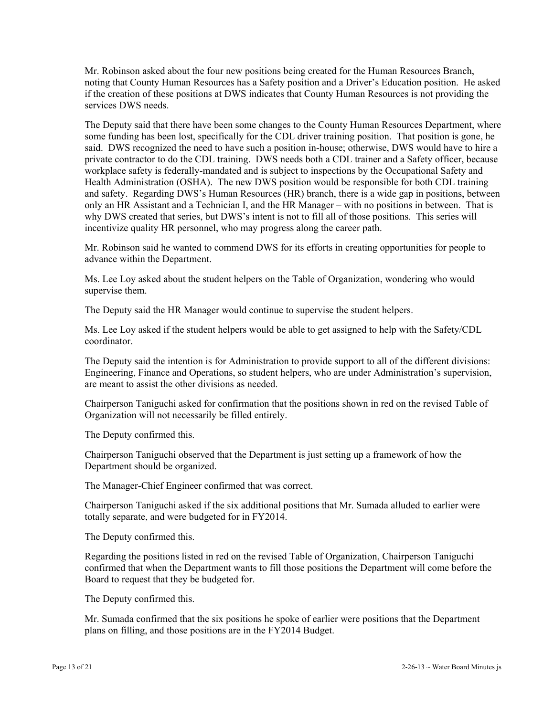Mr. Robinson asked about the four new positions being created for the Human Resources Branch, noting that County Human Resources has a Safety position and a Driver's Education position. He asked if the creation of these positions at DWS indicates that County Human Resources is not providing the services DWS needs.

The Deputy said that there have been some changes to the County Human Resources Department, where some funding has been lost, specifically for the CDL driver training position. That position is gone, he said. DWS recognized the need to have such a position in-house; otherwise, DWS would have to hire a private contractor to do the CDL training. DWS needs both a CDL trainer and a Safety officer, because workplace safety is federally-mandated and is subject to inspections by the Occupational Safety and Health Administration (OSHA). The new DWS position would be responsible for both CDL training and safety. Regarding DWS's Human Resources (HR) branch, there is a wide gap in positions, between only an HR Assistant and a Technician I, and the HR Manager – with no positions in between. That is why DWS created that series, but DWS's intent is not to fill all of those positions. This series will incentivize quality HR personnel, who may progress along the career path.

Mr. Robinson said he wanted to commend DWS for its efforts in creating opportunities for people to advance within the Department.

Ms. Lee Loy asked about the student helpers on the Table of Organization, wondering who would supervise them.

The Deputy said the HR Manager would continue to supervise the student helpers.

Ms. Lee Loy asked if the student helpers would be able to get assigned to help with the Safety/CDL coordinator.

The Deputy said the intention is for Administration to provide support to all of the different divisions: Engineering, Finance and Operations, so student helpers, who are under Administration's supervision, are meant to assist the other divisions as needed.

Chairperson Taniguchi asked for confirmation that the positions shown in red on the revised Table of Organization will not necessarily be filled entirely.

The Deputy confirmed this.

Chairperson Taniguchi observed that the Department is just setting up a framework of how the Department should be organized.

The Manager-Chief Engineer confirmed that was correct.

Chairperson Taniguchi asked if the six additional positions that Mr. Sumada alluded to earlier were totally separate, and were budgeted for in FY2014.

The Deputy confirmed this.

Regarding the positions listed in red on the revised Table of Organization, Chairperson Taniguchi confirmed that when the Department wants to fill those positions the Department will come before the Board to request that they be budgeted for.

The Deputy confirmed this.

Mr. Sumada confirmed that the six positions he spoke of earlier were positions that the Department plans on filling, and those positions are in the FY2014 Budget.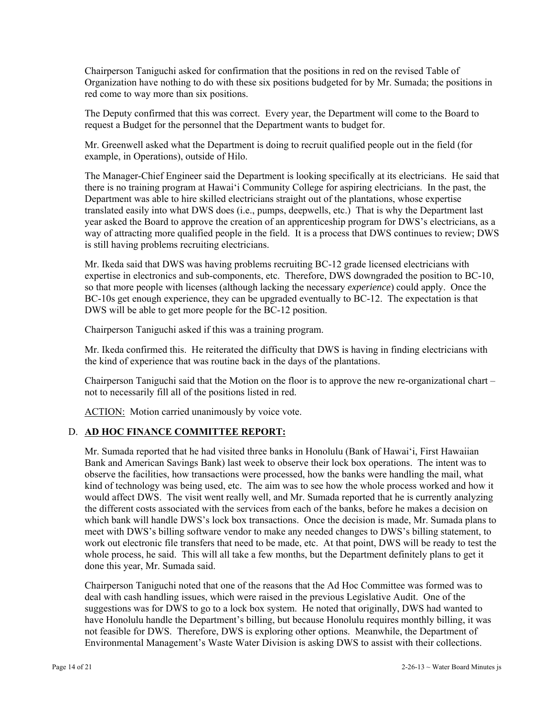Chairperson Taniguchi asked for confirmation that the positions in red on the revised Table of Organization have nothing to do with these six positions budgeted for by Mr. Sumada; the positions in red come to way more than six positions.

The Deputy confirmed that this was correct. Every year, the Department will come to the Board to request a Budget for the personnel that the Department wants to budget for.

Mr. Greenwell asked what the Department is doing to recruit qualified people out in the field (for example, in Operations), outside of Hilo.

The Manager-Chief Engineer said the Department is looking specifically at its electricians. He said that there is no training program at Hawai'i Community College for aspiring electricians. In the past, the Department was able to hire skilled electricians straight out of the plantations, whose expertise translated easily into what DWS does (i.e., pumps, deepwells, etc.) That is why the Department last year asked the Board to approve the creation of an apprenticeship program for DWS's electricians, as a way of attracting more qualified people in the field. It is a process that DWS continues to review; DWS is still having problems recruiting electricians.

Mr. Ikeda said that DWS was having problems recruiting BC-12 grade licensed electricians with expertise in electronics and sub-components, etc. Therefore, DWS downgraded the position to BC-10, so that more people with licenses (although lacking the necessary *experience*) could apply. Once the BC-10s get enough experience, they can be upgraded eventually to BC-12. The expectation is that DWS will be able to get more people for the BC-12 position.

Chairperson Taniguchi asked if this was a training program.

Mr. Ikeda confirmed this. He reiterated the difficulty that DWS is having in finding electricians with the kind of experience that was routine back in the days of the plantations.

Chairperson Taniguchi said that the Motion on the floor is to approve the new re-organizational chart – not to necessarily fill all of the positions listed in red.

ACTION: Motion carried unanimously by voice vote.

## D. **AD HOC FINANCE COMMITTEE REPORT:**

Mr. Sumada reported that he had visited three banks in Honolulu (Bank of Hawai'i, First Hawaiian Bank and American Savings Bank) last week to observe their lock box operations. The intent was to observe the facilities, how transactions were processed, how the banks were handling the mail, what kind of technology was being used, etc. The aim was to see how the whole process worked and how it would affect DWS. The visit went really well, and Mr. Sumada reported that he is currently analyzing the different costs associated with the services from each of the banks, before he makes a decision on which bank will handle DWS's lock box transactions. Once the decision is made, Mr. Sumada plans to meet with DWS's billing software vendor to make any needed changes to DWS's billing statement, to work out electronic file transfers that need to be made, etc. At that point, DWS will be ready to test the whole process, he said. This will all take a few months, but the Department definitely plans to get it done this year, Mr. Sumada said.

Chairperson Taniguchi noted that one of the reasons that the Ad Hoc Committee was formed was to deal with cash handling issues, which were raised in the previous Legislative Audit. One of the suggestions was for DWS to go to a lock box system. He noted that originally, DWS had wanted to have Honolulu handle the Department's billing, but because Honolulu requires monthly billing, it was not feasible for DWS. Therefore, DWS is exploring other options. Meanwhile, the Department of Environmental Management's Waste Water Division is asking DWS to assist with their collections.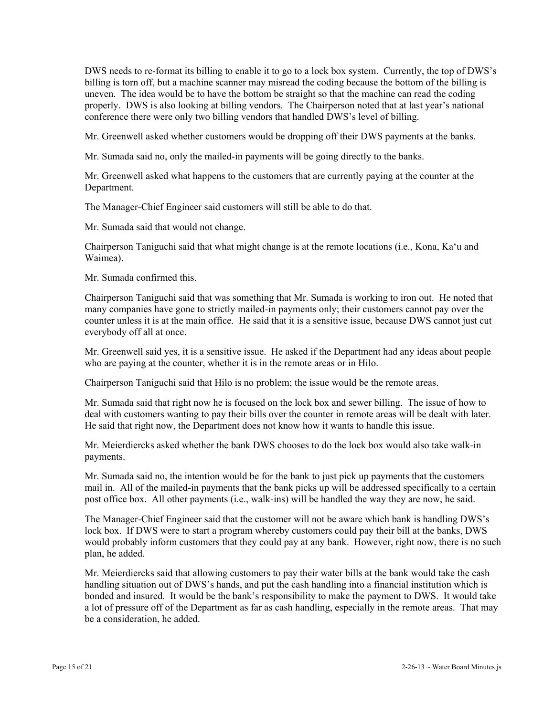DWS needs to re-format its billing to enable it to go to a lock box system. Currently, the top of DWS's billing is torn off, but a machine scanner may misread the coding because the bottom of the billing is uneven. The idea would be to have the bottom be straight so that the machine can read the coding properly. DWS is also looking at billing vendors. The Chairperson noted that at last year's national conference there were only two billing vendors that handled DWS's level of billing.

Mr. Greenwell asked whether customers would be dropping off their DWS payments at the banks.

Mr. Sumada said no, only the mailed-in payments will be going directly to the banks.

Mr. Greenwell asked what happens to the customers that are currently paying at the counter at the Department.

The Manager-Chief Engineer said customers will still be able to do that.

Mr. Sumada said that would not change.

Chairperson Taniguchi said that what might change is at the remote locations (i.e., Kona, Ka'u and Waimea).

Mr. Sumada confirmed this.

Chairperson Taniguchi said that was something that Mr. Sumada is working to iron out. He noted that many companies have gone to strictly mailed-in payments only; their customers cannot pay over the counter unless it is at the main office. He said that it is a sensitive issue, because DWS cannot just cut everybody off all at once.

Mr. Greenwell said yes, it is a sensitive issue. He asked if the Department had any ideas about people who are paying at the counter, whether it is in the remote areas or in Hilo.

Chairperson Taniguchi said that Hilo is no problem; the issue would be the remote areas.

Mr. Sumada said that right now he is focused on the lock box and sewer billing. The issue of how to deal with customers wanting to pay their bills over the counter in remote areas will be dealt with later. He said that right now, the Department does not know how it wants to handle this issue.

Mr. Meierdiercks asked whether the bank DWS chooses to do the lock box would also take walk-in payments.

Mr. Sumada said no, the intention would be for the bank to just pick up payments that the customers mail in. All of the mailed-in payments that the bank picks up will be addressed specifically to a certain post office box. All other payments (i.e., walk-ins) will be handled the way they are now, he said.

The Manager-Chief Engineer said that the customer will not be aware which bank is handling DWS's lock box. If DWS were to start a program whereby customers could pay their bill at the banks, DWS would probably inform customers that they could pay at any bank. However, right now, there is no such plan, he added.

Mr. Meierdiercks said that allowing customers to pay their water bills at the bank would take the cash handling situation out of DWS's hands, and put the cash handling into a financial institution which is bonded and insured. It would be the bank's responsibility to make the payment to DWS. It would take a lot of pressure off of the Department as far as cash handling, especially in the remote areas. That may be a consideration, he added.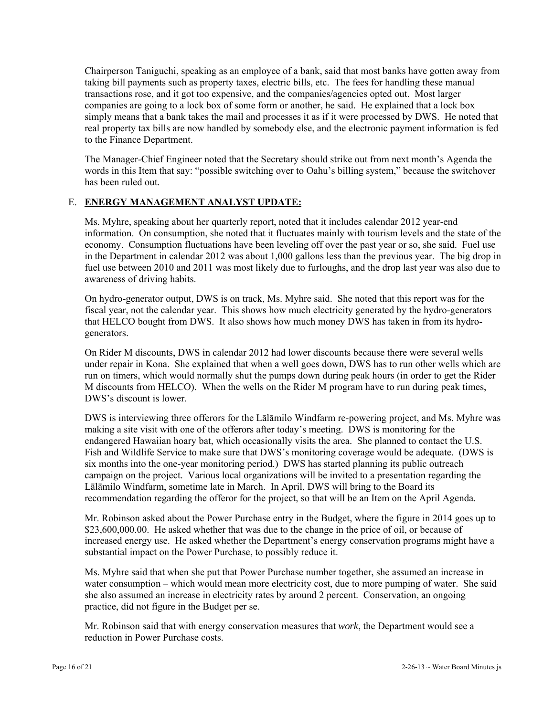Chairperson Taniguchi, speaking as an employee of a bank, said that most banks have gotten away from taking bill payments such as property taxes, electric bills, etc. The fees for handling these manual transactions rose, and it got too expensive, and the companies/agencies opted out. Most larger companies are going to a lock box of some form or another, he said. He explained that a lock box simply means that a bank takes the mail and processes it as if it were processed by DWS. He noted that real property tax bills are now handled by somebody else, and the electronic payment information is fed to the Finance Department.

The Manager-Chief Engineer noted that the Secretary should strike out from next month's Agenda the words in this Item that say: "possible switching over to Oahu's billing system," because the switchover has been ruled out.

# E. **ENERGY MANAGEMENT ANALYST UPDATE:**

Ms. Myhre, speaking about her quarterly report, noted that it includes calendar 2012 year-end information. On consumption, she noted that it fluctuates mainly with tourism levels and the state of the economy. Consumption fluctuations have been leveling off over the past year or so, she said. Fuel use in the Department in calendar 2012 was about 1,000 gallons less than the previous year. The big drop in fuel use between 2010 and 2011 was most likely due to furloughs, and the drop last year was also due to awareness of driving habits.

On hydro-generator output, DWS is on track, Ms. Myhre said. She noted that this report was for the fiscal year, not the calendar year. This shows how much electricity generated by the hydro-generators that HELCO bought from DWS. It also shows how much money DWS has taken in from its hydrogenerators.

On Rider M discounts, DWS in calendar 2012 had lower discounts because there were several wells under repair in Kona. She explained that when a well goes down, DWS has to run other wells which are run on timers, which would normally shut the pumps down during peak hours (in order to get the Rider M discounts from HELCO). When the wells on the Rider M program have to run during peak times, DWS's discount is lower.

DWS is interviewing three offerors for the Lālāmilo Windfarm re-powering project, and Ms. Myhre was making a site visit with one of the offerors after today's meeting. DWS is monitoring for the endangered Hawaiian hoary bat, which occasionally visits the area. She planned to contact the U.S. Fish and Wildlife Service to make sure that DWS's monitoring coverage would be adequate. (DWS is six months into the one-year monitoring period.) DWS has started planning its public outreach campaign on the project. Various local organizations will be invited to a presentation regarding the Lālāmilo Windfarm, sometime late in March. In April, DWS will bring to the Board its recommendation regarding the offeror for the project, so that will be an Item on the April Agenda.

Mr. Robinson asked about the Power Purchase entry in the Budget, where the figure in 2014 goes up to \$23,600,000.00. He asked whether that was due to the change in the price of oil, or because of increased energy use. He asked whether the Department's energy conservation programs might have a substantial impact on the Power Purchase, to possibly reduce it.

Ms. Myhre said that when she put that Power Purchase number together, she assumed an increase in water consumption – which would mean more electricity cost, due to more pumping of water. She said she also assumed an increase in electricity rates by around 2 percent. Conservation, an ongoing practice, did not figure in the Budget per se.

Mr. Robinson said that with energy conservation measures that *work*, the Department would see a reduction in Power Purchase costs.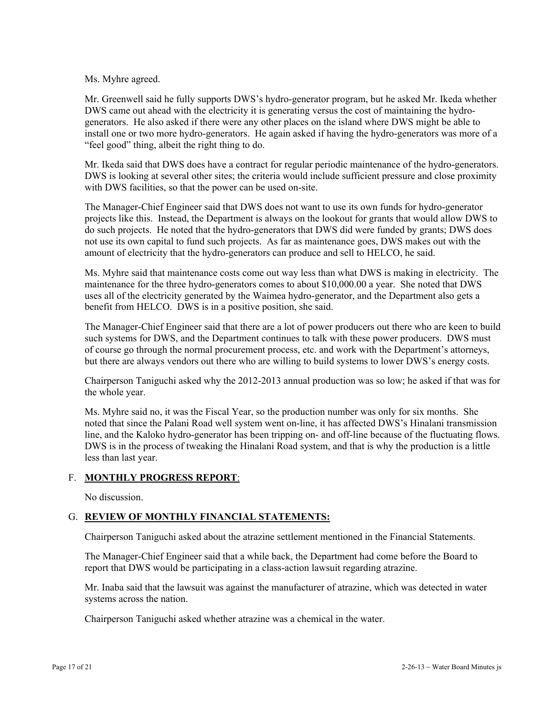### Ms. Myhre agreed.

Mr. Greenwell said he fully supports DWS's hydro-generator program, but he asked Mr. Ikeda whether DWS came out ahead with the electricity it is generating versus the cost of maintaining the hydrogenerators. He also asked if there were any other places on the island where DWS might be able to install one or two more hydro-generators. He again asked if having the hydro-generators was more of a "feel good" thing, albeit the right thing to do.

Mr. Ikeda said that DWS does have a contract for regular periodic maintenance of the hydro-generators. DWS is looking at several other sites; the criteria would include sufficient pressure and close proximity with DWS facilities, so that the power can be used on-site.

The Manager-Chief Engineer said that DWS does not want to use its own funds for hydro-generator projects like this. Instead, the Department is always on the lookout for grants that would allow DWS to do such projects. He noted that the hydro-generators that DWS did were funded by grants; DWS does not use its own capital to fund such projects. As far as maintenance goes, DWS makes out with the amount of electricity that the hydro-generators can produce and sell to HELCO, he said.

Ms. Myhre said that maintenance costs come out way less than what DWS is making in electricity. The maintenance for the three hydro-generators comes to about \$10,000.00 a year. She noted that DWS uses all of the electricity generated by the Waimea hydro-generator, and the Department also gets a benefit from HELCO. DWS is in a positive position, she said.

The Manager-Chief Engineer said that there are a lot of power producers out there who are keen to build such systems for DWS, and the Department continues to talk with these power producers. DWS must of course go through the normal procurement process, etc. and work with the Department's attorneys, but there are always vendors out there who are willing to build systems to lower DWS's energy costs.

Chairperson Taniguchi asked why the 2012-2013 annual production was so low; he asked if that was for the whole year.

Ms. Myhre said no, it was the Fiscal Year, so the production number was only for six months. She noted that since the Palani Road well system went on-line, it has affected DWS's Hinalani transmission line, and the Kaloko hydro-generator has been tripping on- and off-line because of the fluctuating flows. DWS is in the process of tweaking the Hinalani Road system, and that is why the production is a little less than last year.

## F. **MONTHLY PROGRESS REPORT**:

No discussion.

# G. **REVIEW OF MONTHLY FINANCIAL STATEMENTS:**

Chairperson Taniguchi asked about the atrazine settlement mentioned in the Financial Statements.

The Manager-Chief Engineer said that a while back, the Department had come before the Board to report that DWS would be participating in a class-action lawsuit regarding atrazine.

Mr. Inaba said that the lawsuit was against the manufacturer of atrazine, which was detected in water systems across the nation.

Chairperson Taniguchi asked whether atrazine was a chemical in the water.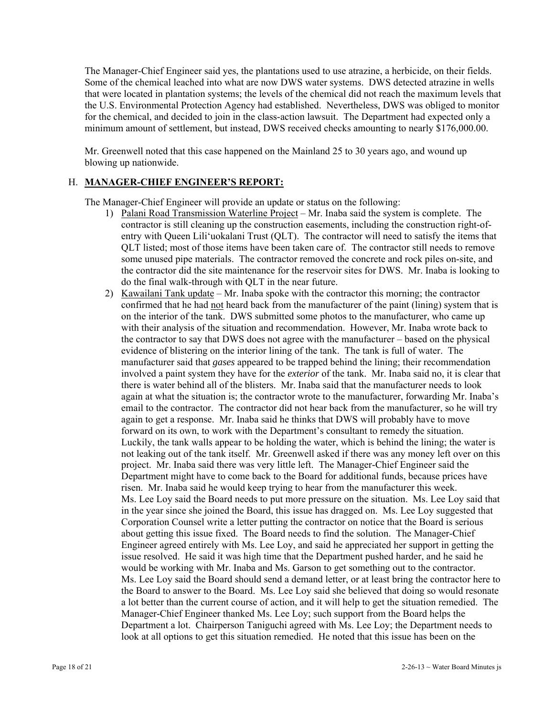The Manager-Chief Engineer said yes, the plantations used to use atrazine, a herbicide, on their fields. Some of the chemical leached into what are now DWS water systems. DWS detected atrazine in wells that were located in plantation systems; the levels of the chemical did not reach the maximum levels that the U.S. Environmental Protection Agency had established. Nevertheless, DWS was obliged to monitor for the chemical, and decided to join in the class-action lawsuit. The Department had expected only a minimum amount of settlement, but instead, DWS received checks amounting to nearly \$176,000.00.

Mr. Greenwell noted that this case happened on the Mainland 25 to 30 years ago, and wound up blowing up nationwide.

# H. **MANAGER-CHIEF ENGINEER'S REPORT:**

The Manager-Chief Engineer will provide an update or status on the following:

- 1) Palani Road Transmission Waterline Project Mr. Inaba said the system is complete. The contractor is still cleaning up the construction easements, including the construction right-ofentry with Queen Lili'uokalani Trust (QLT). The contractor will need to satisfy the items that QLT listed; most of those items have been taken care of. The contractor still needs to remove some unused pipe materials. The contractor removed the concrete and rock piles on-site, and the contractor did the site maintenance for the reservoir sites for DWS. Mr. Inaba is looking to do the final walk-through with QLT in the near future.
- 2) Kawailani Tank update Mr. Inaba spoke with the contractor this morning; the contractor confirmed that he had not heard back from the manufacturer of the paint (lining) system that is on the interior of the tank. DWS submitted some photos to the manufacturer, who came up with their analysis of the situation and recommendation. However, Mr. Inaba wrote back to the contractor to say that DWS does not agree with the manufacturer – based on the physical evidence of blistering on the interior lining of the tank. The tank is full of water. The manufacturer said that *gases* appeared to be trapped behind the lining; their recommendation involved a paint system they have for the *exterior* of the tank. Mr. Inaba said no, it is clear that there is water behind all of the blisters. Mr. Inaba said that the manufacturer needs to look again at what the situation is; the contractor wrote to the manufacturer, forwarding Mr. Inaba's email to the contractor. The contractor did not hear back from the manufacturer, so he will try again to get a response. Mr. Inaba said he thinks that DWS will probably have to move forward on its own, to work with the Department's consultant to remedy the situation. Luckily, the tank walls appear to be holding the water, which is behind the lining; the water is not leaking out of the tank itself. Mr. Greenwell asked if there was any money left over on this project. Mr. Inaba said there was very little left. The Manager-Chief Engineer said the Department might have to come back to the Board for additional funds, because prices have risen. Mr. Inaba said he would keep trying to hear from the manufacturer this week. Ms. Lee Loy said the Board needs to put more pressure on the situation. Ms. Lee Loy said that in the year since she joined the Board, this issue has dragged on. Ms. Lee Loy suggested that Corporation Counsel write a letter putting the contractor on notice that the Board is serious about getting this issue fixed. The Board needs to find the solution. The Manager-Chief Engineer agreed entirely with Ms. Lee Loy, and said he appreciated her support in getting the issue resolved. He said it was high time that the Department pushed harder, and he said he would be working with Mr. Inaba and Ms. Garson to get something out to the contractor. Ms. Lee Loy said the Board should send a demand letter, or at least bring the contractor here to the Board to answer to the Board. Ms. Lee Loy said she believed that doing so would resonate a lot better than the current course of action, and it will help to get the situation remedied. The Manager-Chief Engineer thanked Ms. Lee Loy; such support from the Board helps the Department a lot. Chairperson Taniguchi agreed with Ms. Lee Loy; the Department needs to look at all options to get this situation remedied. He noted that this issue has been on the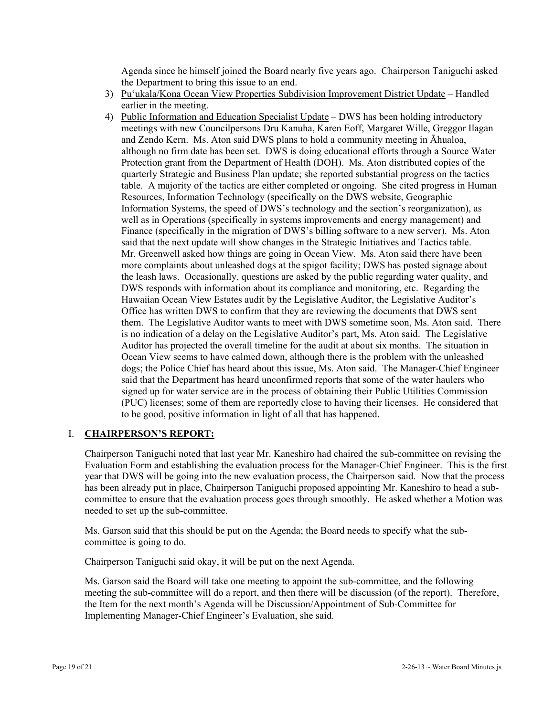Agenda since he himself joined the Board nearly five years ago. Chairperson Taniguchi asked the Department to bring this issue to an end.

- 3) Pu'ukala/Kona Ocean View Properties Subdivision Improvement District Update Handled earlier in the meeting.
- 4) Public Information and Education Specialist Update DWS has been holding introductory meetings with new Councilpersons Dru Kanuha, Karen Eoff, Margaret Wille, Greggor Ilagan and Zendo Kern. Ms. Aton said DWS plans to hold a community meeting in Āhualoa, although no firm date has been set. DWS is doing educational efforts through a Source Water Protection grant from the Department of Health (DOH). Ms. Aton distributed copies of the quarterly Strategic and Business Plan update; she reported substantial progress on the tactics table. A majority of the tactics are either completed or ongoing. She cited progress in Human Resources, Information Technology (specifically on the DWS website, Geographic Information Systems, the speed of DWS's technology and the section's reorganization), as well as in Operations (specifically in systems improvements and energy management) and Finance (specifically in the migration of DWS's billing software to a new server). Ms. Aton said that the next update will show changes in the Strategic Initiatives and Tactics table. Mr. Greenwell asked how things are going in Ocean View. Ms. Aton said there have been more complaints about unleashed dogs at the spigot facility; DWS has posted signage about the leash laws. Occasionally, questions are asked by the public regarding water quality, and DWS responds with information about its compliance and monitoring, etc. Regarding the Hawaiian Ocean View Estates audit by the Legislative Auditor, the Legislative Auditor's Office has written DWS to confirm that they are reviewing the documents that DWS sent them. The Legislative Auditor wants to meet with DWS sometime soon, Ms. Aton said. There is no indication of a delay on the Legislative Auditor's part, Ms. Aton said. The Legislative Auditor has projected the overall timeline for the audit at about six months. The situation in Ocean View seems to have calmed down, although there is the problem with the unleashed dogs; the Police Chief has heard about this issue, Ms. Aton said. The Manager-Chief Engineer said that the Department has heard unconfirmed reports that some of the water haulers who signed up for water service are in the process of obtaining their Public Utilities Commission (PUC) licenses; some of them are reportedly close to having their licenses. He considered that to be good, positive information in light of all that has happened.

## I. **CHAIRPERSON'S REPORT:**

Chairperson Taniguchi noted that last year Mr. Kaneshiro had chaired the sub-committee on revising the Evaluation Form and establishing the evaluation process for the Manager-Chief Engineer. This is the first year that DWS will be going into the new evaluation process, the Chairperson said. Now that the process has been already put in place, Chairperson Taniguchi proposed appointing Mr. Kaneshiro to head a subcommittee to ensure that the evaluation process goes through smoothly. He asked whether a Motion was needed to set up the sub-committee.

Ms. Garson said that this should be put on the Agenda; the Board needs to specify what the subcommittee is going to do.

Chairperson Taniguchi said okay, it will be put on the next Agenda.

Ms. Garson said the Board will take one meeting to appoint the sub-committee, and the following meeting the sub-committee will do a report, and then there will be discussion (of the report). Therefore, the Item for the next month's Agenda will be Discussion/Appointment of Sub-Committee for Implementing Manager-Chief Engineer's Evaluation, she said.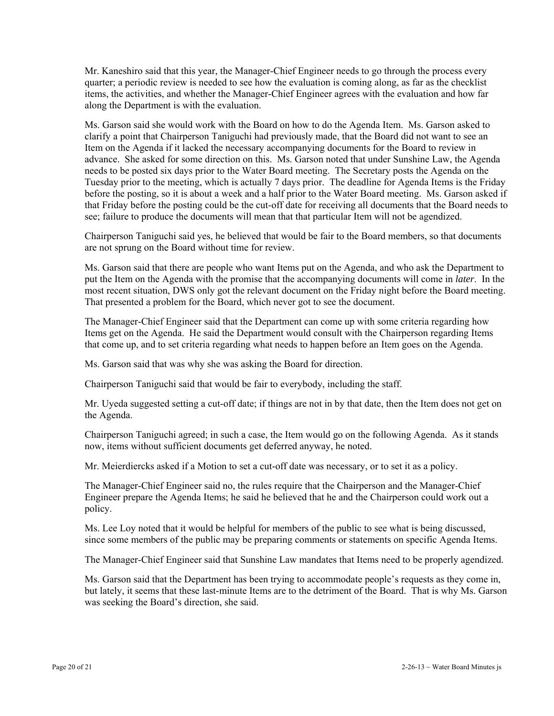Mr. Kaneshiro said that this year, the Manager-Chief Engineer needs to go through the process every quarter; a periodic review is needed to see how the evaluation is coming along, as far as the checklist items, the activities, and whether the Manager-Chief Engineer agrees with the evaluation and how far along the Department is with the evaluation.

Ms. Garson said she would work with the Board on how to do the Agenda Item. Ms. Garson asked to clarify a point that Chairperson Taniguchi had previously made, that the Board did not want to see an Item on the Agenda if it lacked the necessary accompanying documents for the Board to review in advance. She asked for some direction on this. Ms. Garson noted that under Sunshine Law, the Agenda needs to be posted six days prior to the Water Board meeting. The Secretary posts the Agenda on the Tuesday prior to the meeting, which is actually 7 days prior. The deadline for Agenda Items is the Friday before the posting, so it is about a week and a half prior to the Water Board meeting. Ms. Garson asked if that Friday before the posting could be the cut-off date for receiving all documents that the Board needs to see; failure to produce the documents will mean that that particular Item will not be agendized.

Chairperson Taniguchi said yes, he believed that would be fair to the Board members, so that documents are not sprung on the Board without time for review.

Ms. Garson said that there are people who want Items put on the Agenda, and who ask the Department to put the Item on the Agenda with the promise that the accompanying documents will come in *later*. In the most recent situation, DWS only got the relevant document on the Friday night before the Board meeting. That presented a problem for the Board, which never got to see the document.

The Manager-Chief Engineer said that the Department can come up with some criteria regarding how Items get on the Agenda. He said the Department would consult with the Chairperson regarding Items that come up, and to set criteria regarding what needs to happen before an Item goes on the Agenda.

Ms. Garson said that was why she was asking the Board for direction.

Chairperson Taniguchi said that would be fair to everybody, including the staff.

Mr. Uyeda suggested setting a cut-off date; if things are not in by that date, then the Item does not get on the Agenda.

Chairperson Taniguchi agreed; in such a case, the Item would go on the following Agenda. As it stands now, items without sufficient documents get deferred anyway, he noted.

Mr. Meierdiercks asked if a Motion to set a cut-off date was necessary, or to set it as a policy.

The Manager-Chief Engineer said no, the rules require that the Chairperson and the Manager-Chief Engineer prepare the Agenda Items; he said he believed that he and the Chairperson could work out a policy.

Ms. Lee Loy noted that it would be helpful for members of the public to see what is being discussed, since some members of the public may be preparing comments or statements on specific Agenda Items.

The Manager-Chief Engineer said that Sunshine Law mandates that Items need to be properly agendized.

Ms. Garson said that the Department has been trying to accommodate people's requests as they come in, but lately, it seems that these last-minute Items are to the detriment of the Board. That is why Ms. Garson was seeking the Board's direction, she said.